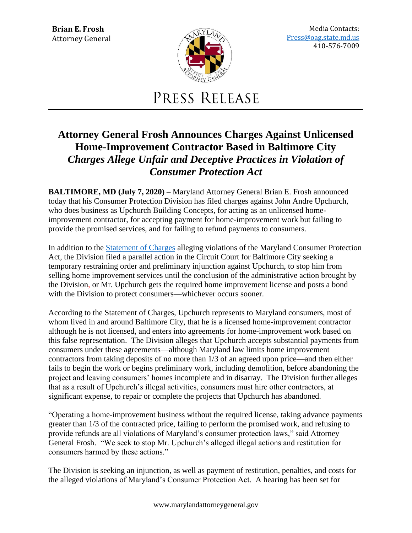

Media Contacts: [Press@oag.state.md.us](mailto:Press@oag.state.md.us) 410-576-7009

## PRESS RELEASE

## **Attorney General Frosh Announces Charges Against Unlicensed Home-Improvement Contractor Based in Baltimore City** *Charges Allege Unfair and Deceptive Practices in Violation of Consumer Protection Act*

**BALTIMORE, MD (July 7, 2020)** – Maryland Attorney General Brian E. Frosh announced today that his Consumer Protection Division has filed charges against John Andre Upchurch, who does business as Upchurch Building Concepts, for acting as an unlicensed homeimprovement contractor, for accepting payment for home-improvement work but failing to provide the promised services, and for failing to refund payments to consumers.

In addition to the [Statement of Charges](https://www.marylandattorneygeneral.gov/news%20documents/070620_SOC.pdf) alleging violations of the Maryland Consumer Protection Act, the Division filed a parallel action in the Circuit Court for Baltimore City seeking a temporary restraining order and preliminary injunction against Upchurch, to stop him from selling home improvement services until the conclusion of the administrative action brought by the Division, or Mr. Upchurch gets the required home improvement license and posts a bond with the Division to protect consumers—whichever occurs sooner.

According to the Statement of Charges, Upchurch represents to Maryland consumers, most of whom lived in and around Baltimore City, that he is a licensed home-improvement contractor although he is not licensed, and enters into agreements for home-improvement work based on this false representation. The Division alleges that Upchurch accepts substantial payments from consumers under these agreements—although Maryland law limits home improvement contractors from taking deposits of no more than 1/3 of an agreed upon price—and then either fails to begin the work or begins preliminary work, including demolition, before abandoning the project and leaving consumers' homes incomplete and in disarray. The Division further alleges that as a result of Upchurch's illegal activities, consumers must hire other contractors, at significant expense, to repair or complete the projects that Upchurch has abandoned.

"Operating a home-improvement business without the required license, taking advance payments greater than 1/3 of the contracted price, failing to perform the promised work, and refusing to provide refunds are all violations of Maryland's consumer protection laws," said Attorney General Frosh. "We seek to stop Mr. Upchurch's alleged illegal actions and restitution for consumers harmed by these actions."

The Division is seeking an injunction, as well as payment of restitution, penalties, and costs for the alleged violations of Maryland's Consumer Protection Act. A hearing has been set for